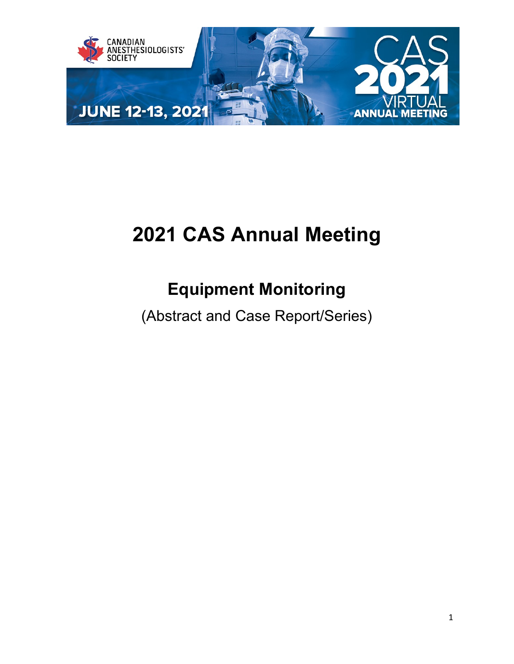

# **2021 CAS Annual Meeting**

## **Equipment Monitoring**

(Abstract and Case Report/Series)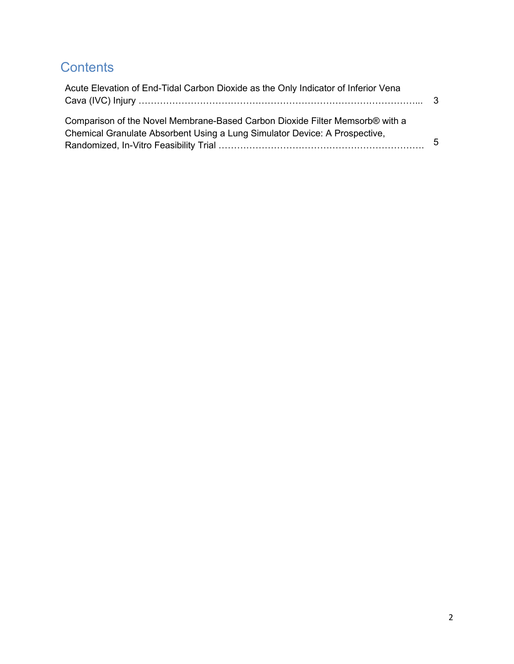### **Contents**

| Acute Elevation of End-Tidal Carbon Dioxide as the Only Indicator of Inferior Vena |   |
|------------------------------------------------------------------------------------|---|
|                                                                                    |   |
| Comparison of the Novel Membrane-Based Carbon Dioxide Filter Memsorb® with a       |   |
| Chemical Granulate Absorbent Using a Lung Simulator Device: A Prospective,         |   |
|                                                                                    | 5 |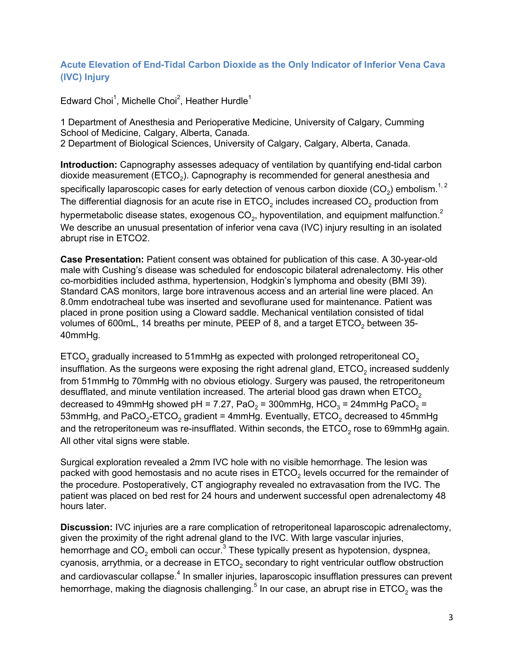#### <span id="page-2-0"></span>**Acute Elevation of End-Tidal Carbon Dioxide as the Only Indicator of Inferior Vena Cava (IVC) Injury**

Edward Choi $^{\rm 1}$ , Michelle Choi $^{\rm 2}$ , Heather Hurdle $^{\rm 1}$ 

1 Department of Anesthesia and Perioperative Medicine, University of Calgary, Cumming School of Medicine, Calgary, Alberta, Canada. 2 Department of Biological Sciences, University of Calgary, Calgary, Alberta, Canada.

**Introduction:** Capnography assesses adequacy of ventilation by quantifying end-tidal carbon dioxide measurement (ETCO<sub>2</sub>). Capnography is recommended for general anesthesia and specifically laparoscopic cases for early detection of venous carbon dioxide (CO<sub>2</sub>) embolism.<sup>1, 2</sup> The differential diagnosis for an acute rise in  $ETCO<sub>2</sub>$  includes increased  $CO<sub>2</sub>$  production from hypermetabolic disease states, exogenous  $CO<sub>2</sub>$ , hypoventilation, and equipment malfunction.<sup>2</sup> We describe an unusual presentation of inferior vena cava (IVC) injury resulting in an isolated abrupt rise in ETCO2.

**Case Presentation:** Patient consent was obtained for publication of this case. A 30-year-old male with Cushing's disease was scheduled for endoscopic bilateral adrenalectomy. His other co-morbidities included asthma, hypertension, Hodgkin's lymphoma and obesity (BMI 39). Standard CAS monitors, large bore intravenous access and an arterial line were placed. An 8.0mm endotracheal tube was inserted and sevoflurane used for maintenance. Patient was placed in prone position using a Cloward saddle. Mechanical ventilation consisted of tidal volumes of 600mL, 14 breaths per minute, PEEP of 8, and a target  $ETCO<sub>2</sub>$  between 35-40mmHg.

ETCO<sub>2</sub> gradually increased to 51mmHg as expected with prolonged retroperitoneal CO<sub>2</sub> insufflation. As the surgeons were exposing the right adrenal gland, ETCO<sub>2</sub> increased suddenly from 51mmHg to 70mmHg with no obvious etiology. Surgery was paused, the retroperitoneum desufflated, and minute ventilation increased. The arterial blood gas drawn when  $\mathsf{ETCO}_2$ decreased to 49mmHg showed pH = 7.27, PaO<sub>2</sub> = 300mmHg, HCO<sub>3</sub> = 24mmHg PaCO<sub>2</sub> = 53mmHg, and PaCO<sub>2</sub>-ETCO<sub>2</sub> gradient = 4mmHg. Eventually, ETCO<sub>2</sub> decreased to 45mmHg and the retroperitoneum was re-insufflated. Within seconds, the  $ETCO<sub>2</sub>$  rose to 69mmHg again. All other vital signs were stable.

Surgical exploration revealed a 2mm IVC hole with no visible hemorrhage. The lesion was packed with good hemostasis and no acute rises in  $ETCO<sub>2</sub>$  levels occurred for the remainder of the procedure. Postoperatively, CT angiography revealed no extravasation from the IVC. The patient was placed on bed rest for 24 hours and underwent successful open adrenalectomy 48 hours later.

**Discussion:** IVC injuries are a rare complication of retroperitoneal laparoscopic adrenalectomy, given the proximity of the right adrenal gland to the IVC. With large vascular injuries, hemorrhage and  $CO<sub>2</sub>$  emboli can occur.<sup>3</sup> These typically present as hypotension, dyspnea, cyanosis, arrythmia, or a decrease in  $ETCO<sub>2</sub>$  secondary to right ventricular outflow obstruction and cardiovascular collapse.<sup>4</sup> In smaller injuries, laparoscopic insufflation pressures can prevent hemorrhage, making the diagnosis challenging.<sup>5</sup> In our case, an abrupt rise in ETCO<sub>2</sub> was the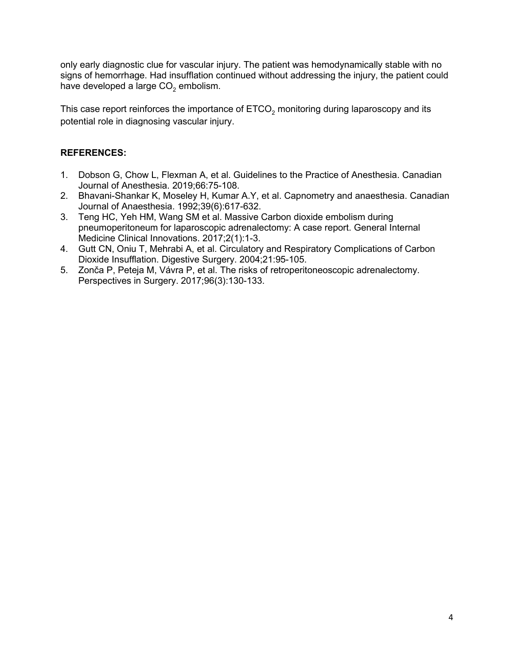only early diagnostic clue for vascular injury. The patient was hemodynamically stable with no signs of hemorrhage. Had insufflation continued without addressing the injury, the patient could have developed a large  $CO<sub>2</sub>$  embolism.

This case report reinforces the importance of  $ETCO<sub>2</sub>$  monitoring during laparoscopy and its potential role in diagnosing vascular injury.

#### **REFERENCES:**

- 1. Dobson G, Chow L, Flexman A, et al. Guidelines to the Practice of Anesthesia. Canadian Journal of Anesthesia. 2019;66:75-108.
- 2. Bhavani-Shankar K, Moseley H, Kumar A.Y, et al. Capnometry and anaesthesia. Canadian Journal of Anaesthesia. 1992;39(6):617-632.
- 3. Teng HC, Yeh HM, Wang SM et al. Massive Carbon dioxide embolism during pneumoperitoneum for laparoscopic adrenalectomy: A case report. General Internal Medicine Clinical Innovations. 2017;2(1):1-3.
- 4. Gutt CN, Oniu T, Mehrabi A, et al. Circulatory and Respiratory Complications of Carbon Dioxide Insufflation. Digestive Surgery. 2004;21:95-105.
- 5. Zonča P, Peteja M, Vávra P, et al. The risks of retroperitoneoscopic adrenalectomy. Perspectives in Surgery. 2017;96(3):130-133.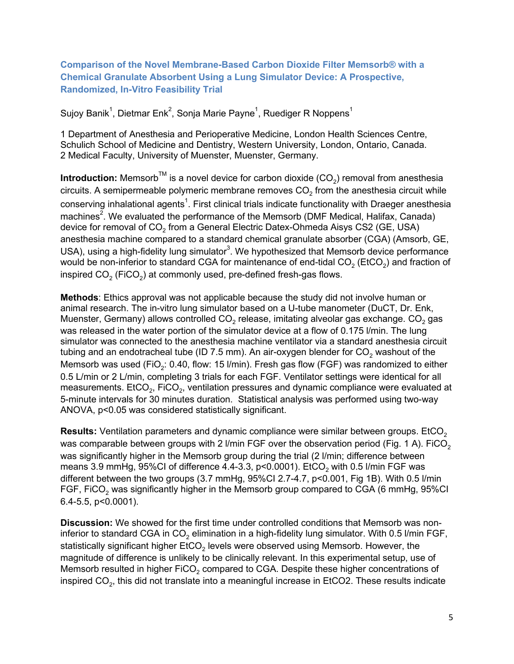#### <span id="page-4-0"></span>**Comparison of the Novel Membrane-Based Carbon Dioxide Filter Memsorb® with a Chemical Granulate Absorbent Using a Lung Simulator Device: A Prospective, Randomized, In-Vitro Feasibility Trial**

Sujoy Banik $^1$ , Dietmar Enk $^2$ , Sonja Marie Payne $^1$ , Ruediger R Noppens $^1$ 

1 Department of Anesthesia and Perioperative Medicine, London Health Sciences Centre, Schulich School of Medicine and Dentistry, Western University, London, Ontario, Canada. 2 Medical Faculty, University of Muenster, Muenster, Germany.

**Introduction:** Memsorb<sup>TM</sup> is a novel device for carbon dioxide (CO<sub>2</sub>) removal from anesthesia circuits. A semipermeable polymeric membrane removes  $CO<sub>2</sub>$  from the anesthesia circuit while conserving inhalational agents $^{\rm 1}$ . First clinical trials indicate functionality with Draeger anesthesia $\,$ machines $^2$ . We evaluated the performance of the Memsorb (DMF Medical, Halifax, Canada) device for removal of CO<sub>2</sub> from a General Electric Datex-Ohmeda Aisys CS2 (GE, USA) anesthesia machine compared to a standard chemical granulate absorber (CGA) (Amsorb, GE, USA), using a high-fidelity lung simulator $^3$ . We hypothesized that Memsorb device performance would be non-inferior to standard CGA for maintenance of end-tidal  $CO<sub>2</sub>$  (EtCO<sub>2</sub>) and fraction of inspired  $CO<sub>2</sub>$  (FiCO<sub>2</sub>) at commonly used, pre-defined fresh-gas flows.

**Methods**: Ethics approval was not applicable because the study did not involve human or animal research. The in-vitro lung simulator based on a U-tube manometer (DuCT, Dr. Enk, Muenster, Germany) allows controlled  $CO<sub>2</sub>$  release, imitating alveolar gas exchange.  $CO<sub>2</sub>$  gas was released in the water portion of the simulator device at a flow of 0.175 l/min. The lung simulator was connected to the anesthesia machine ventilator via a standard anesthesia circuit tubing and an endotracheal tube (ID 7.5 mm). An air-oxygen blender for  $CO<sub>2</sub>$  washout of the Memsorb was used (FiO<sub>2</sub>: 0.40, flow: 15 l/min). Fresh gas flow (FGF) was randomized to either 0.5 L/min or 2 L/min, completing 3 trials for each FGF. Ventilator settings were identical for all measurements. EtCO<sub>2</sub>, FiCO<sub>2</sub>, ventilation pressures and dynamic compliance were evaluated at 5-minute intervals for 30 minutes duration. Statistical analysis was performed using two-way ANOVA, p<0.05 was considered statistically significant.

**Results:** Ventilation parameters and dynamic compliance were similar between groups. EtCO<sub>2</sub> was comparable between groups with 2 l/min FGF over the observation period (Fig. 1 A). FiCO<sub>2</sub> was significantly higher in the Memsorb group during the trial (2 l/min; difference between means 3.9 mmHg,  $95\%$ CI of difference 4.4-3.3, p<0.0001). EtCO<sub>2</sub> with 0.5 l/min FGF was different between the two groups (3.7 mmHg, 95%CI 2.7-4.7, p<0.001, Fig 1B). With 0.5 l/min FGF, FiCO<sub>2</sub> was significantly higher in the Memsorb group compared to CGA (6 mmHg, 95%CI 6.4-5.5, p<0.0001).

**Discussion:** We showed for the first time under controlled conditions that Memsorb was noninferior to standard CGA in CO<sub>2</sub> elimination in a high-fidelity lung simulator. With 0.5 l/min FGF, statistically significant higher  $ECO<sub>2</sub>$  levels were observed using Memsorb. However, the magnitude of difference is unlikely to be clinically relevant. In this experimental setup, use of Memsorb resulted in higher  $FICO<sub>2</sub>$  compared to CGA. Despite these higher concentrations of inspired  $CO<sub>2</sub>$ , this did not translate into a meaningful increase in EtCO2. These results indicate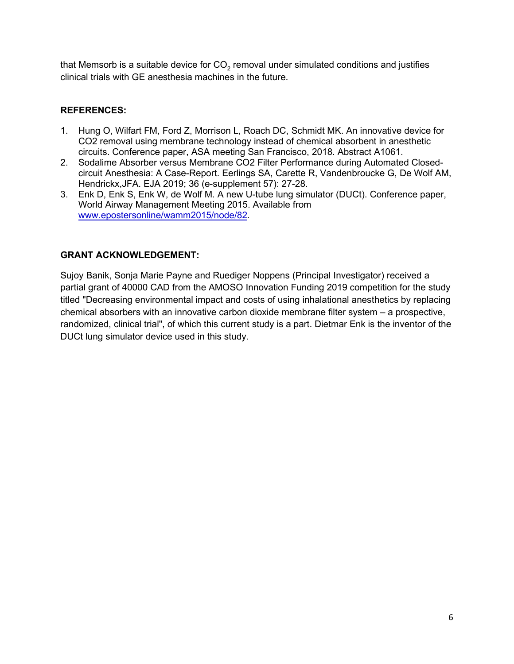that Memsorb is a suitable device for  $CO<sub>2</sub>$  removal under simulated conditions and justifies clinical trials with GE anesthesia machines in the future.

#### **REFERENCES:**

- 1. Hung O, Wilfart FM, Ford Z, Morrison L, Roach DC, Schmidt MK. An innovative device for CO2 removal using membrane technology instead of chemical absorbent in anesthetic circuits. Conference paper, ASA meeting San Francisco, 2018. Abstract A1061.
- 2. Sodalime Absorber versus Membrane CO2 Filter Performance during Automated Closedcircuit Anesthesia: A Case-Report. Eerlings SA, Carette R, Vandenbroucke G, De Wolf AM, Hendrickx,JFA. EJA 2019; 36 (e-supplement 57): 27-28.
- 3. Enk D, Enk S, Enk W, de Wolf M. A new U-tube lung simulator (DUCt). Conference paper, World Airway Management Meeting 2015. Available from [www.epostersonline/wamm2015/node/82.](http://www.epostersonline/wamm2015/node/82)

#### **GRANT ACKNOWLEDGEMENT:**

Sujoy Banik, Sonja Marie Payne and Ruediger Noppens (Principal Investigator) received a partial grant of 40000 CAD from the AMOSO Innovation Funding 2019 competition for the study titled "Decreasing environmental impact and costs of using inhalational anesthetics by replacing chemical absorbers with an innovative carbon dioxide membrane filter system – a prospective, randomized, clinical trial", of which this current study is a part. Dietmar Enk is the inventor of the DUCt lung simulator device used in this study.